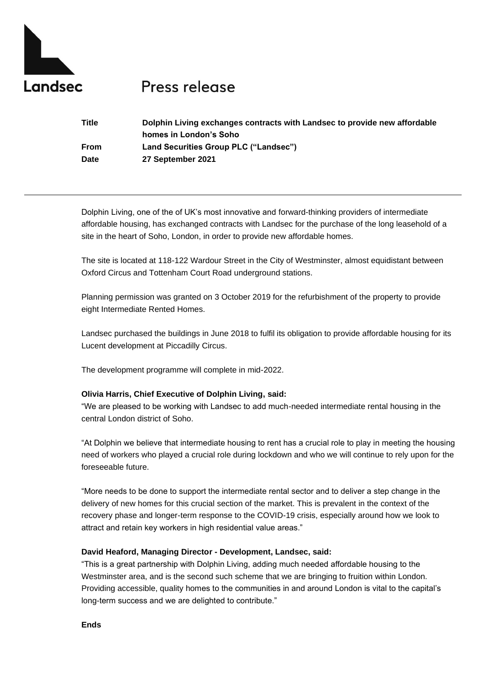

# Press release

| Title | Dolphin Living exchanges contracts with Landsec to provide new affordable |
|-------|---------------------------------------------------------------------------|
|       | homes in London's Soho                                                    |
| From  | Land Securities Group PLC ("Landsec")                                     |
| Date  | 27 September 2021                                                         |

Dolphin Living, one of the of UK's most innovative and forward-thinking providers of intermediate affordable housing, has exchanged contracts with Landsec for the purchase of the long leasehold of a site in the heart of Soho, London, in order to provide new affordable homes.

The site is located at 118-122 Wardour Street in the City of Westminster, almost equidistant between Oxford Circus and Tottenham Court Road underground stations.

Planning permission was granted on 3 October 2019 for the refurbishment of the property to provide eight Intermediate Rented Homes.

Landsec purchased the buildings in June 2018 to fulfil its obligation to provide affordable housing for its Lucent development at Piccadilly Circus.

The development programme will complete in mid-2022.

## **Olivia Harris, Chief Executive of Dolphin Living, said:**

"We are pleased to be working with Landsec to add much-needed intermediate rental housing in the central London district of Soho.

"At Dolphin we believe that intermediate housing to rent has a crucial role to play in meeting the housing need of workers who played a crucial role during lockdown and who we will continue to rely upon for the foreseeable future.

"More needs to be done to support the intermediate rental sector and to deliver a step change in the delivery of new homes for this crucial section of the market. This is prevalent in the context of the recovery phase and longer-term response to the COVID-19 crisis, especially around how we look to attract and retain key workers in high residential value areas."

## **David Heaford, Managing Director - Development, Landsec, said:**

"This is a great partnership with Dolphin Living, adding much needed affordable housing to the Westminster area, and is the second such scheme that we are bringing to fruition within London. Providing accessible, quality homes to the communities in and around London is vital to the capital's long-term success and we are delighted to contribute."

**Ends**